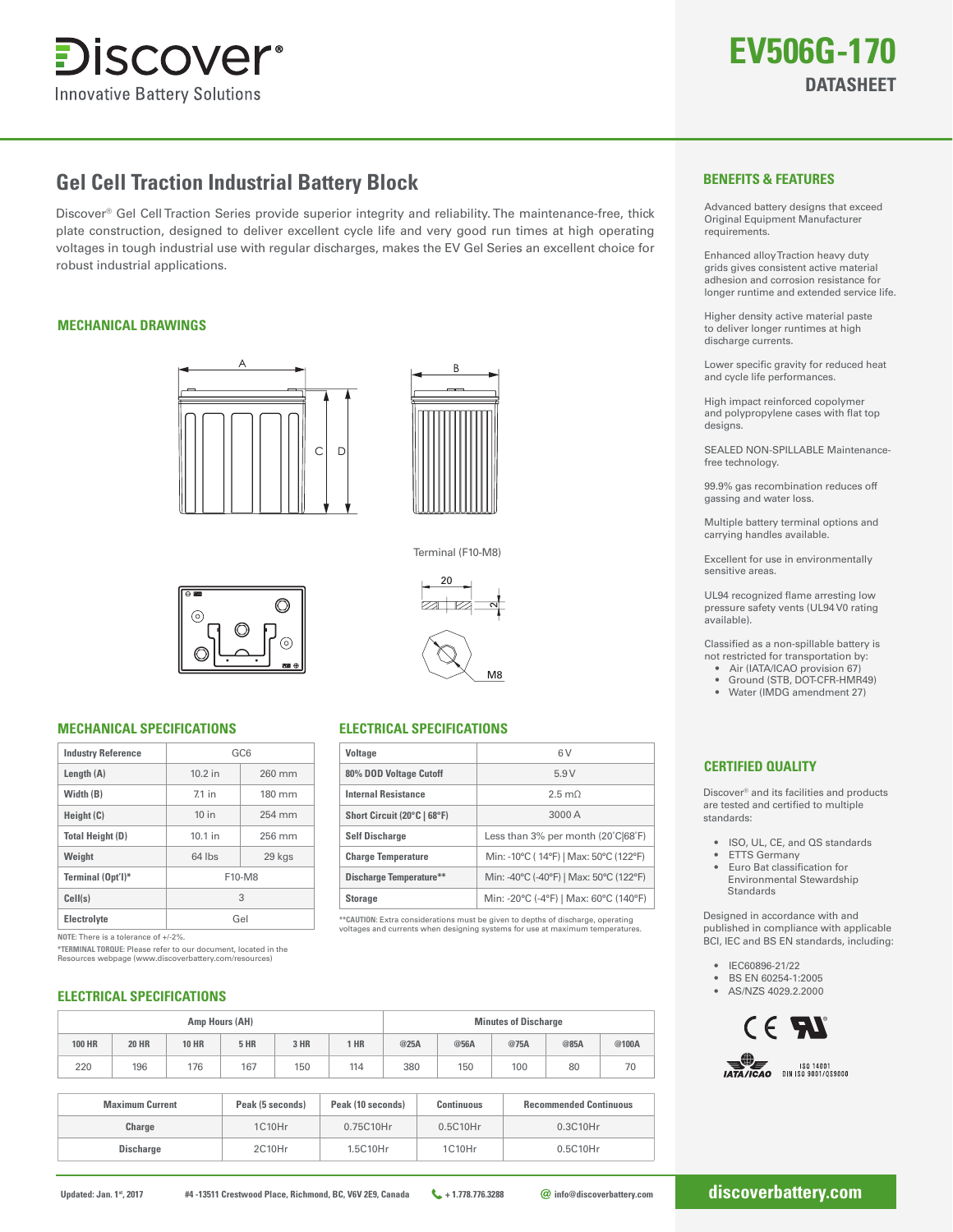

# **Gel Cell Traction Industrial Battery Block**

Discover® Gel Cell Traction Series provide superior integrity and reliability. The maintenance-free, thick plate construction, designed to deliver excellent cycle life and very good run times at high operating voltages in tough industrial use with regular discharges, makes the EV Gel Series an excellent choice for robust industrial applications.

# **MECHANICAL DRAWINGS**





Terminal (F10-M8) Terminal (F10-M8) 20

่

M8

∩

# **MECHANICAL SPECIFICATIONS ELECTRICAL SPECIFICATIONS**

| <b>Industry Reference</b> | GC <sub>6</sub> |        |  |  |  |
|---------------------------|-----------------|--------|--|--|--|
| Length $(A)$              | 10.2 in         | 260 mm |  |  |  |
| Width (B)                 | $71$ in         | 180 mm |  |  |  |
| Height (C)                | 10 in           | 254 mm |  |  |  |
| <b>Total Height (D)</b>   | $10.1$ in       | 256 mm |  |  |  |
| Weight                    | 64 lbs          | 29 kgs |  |  |  |
| Terminal (Opt'l)*         | F10-M8          |        |  |  |  |
| Cell(s)                   | 3               |        |  |  |  |
| <b>Electrolyte</b>        | Gel             |        |  |  |  |

**NOTE:** There is a tolerance of +/-2%.

**\*TERMINAL TORQUE:** Please refer to our document, located in the Resources webpage (www.discoverbattery.com/resources)

# **ELECTRICAL SPECIFICATIONS**

| Amp Hours (AH) |              |              |             | <b>Minutes of Discharge</b> |      |      |      |      |      |       |
|----------------|--------------|--------------|-------------|-----------------------------|------|------|------|------|------|-------|
| <b>100 HR</b>  | <b>20 HR</b> | <b>10 HR</b> | <b>5 HR</b> | 3 HR                        | 1 HR | @25A | @56A | @75A | @85A | @100A |
| 220            | 196          | 176          | 167         | 150                         | 114  | 380  | 150  | 100  | 80   | 70    |

**Voltage**

**80% DOD Voltage Cutoff Internal Resistance Short Circuit (20°C | 68°F)**

Self Discharge **Less than 3% per month (20°C|68°F) Charge Temperature** Min: -10°C ( 14°F) | Max: 50°C (122°F) **Discharge Temperature\*\*** Min: -40°C (-40°F) | Max: 50°C (122°F) **Storage** Min: -20°C (-4°F) | Max: 60°C (140°F)

6 V 5.9 V 2.5 mΩ 3000 A

**\*\*CAUTION:** Extra considerations must be given to depths of discharge, operating voltages and currents when designing systems for use at maximum temperatures.

| <b>Maximum Current</b> | Peak (5 seconds) | Peak (10 seconds) | <b>Continuous</b> | <b>Recommended Continuous</b> |
|------------------------|------------------|-------------------|-------------------|-------------------------------|
| Charge                 | 1C10Hr           | 0.75C10Hr         | 0.5C10Hr          | 0.3C10Hr                      |
| <b>Discharge</b>       | 2C10Hr           | 1.5C10Hr          | 1C10Hr            | 0.5C10Hr                      |

## **BENEFITS & FEATURES**

Advanced battery designs that exceed Original Equipment Manufacturer requirements.

Enhanced alloy Traction heavy duty grids gives consistent active material adhesion and corrosion resistance for longer runtime and extended service life.

Higher density active material paste to deliver longer runtimes at high discharge currents.

Lower specific gravity for reduced heat and cycle life performances.

High impact reinforced copolymer and polypropylene cases with flat top designs

SEALED NON-SPILLABLE Maintenancefree technology.

99.9% gas recombination reduces off gassing and water loss.

Multiple battery terminal options and carrying handles available.

Excellent for use in environmentally sensitive areas.

UL94 recognized flame arresting low pressure safety vents (UL94 V0 rating .<br>available).

Classified as a non-spillable battery is not restricted for transportation by:

- Air (IATA/ICAO provision 67)
- Ground (STB, DOT-CFR-HMR49)
- Water (IMDG amendment 27)

# **CERTIFIED QUALITY**

Discover® and its facilities and products are tested and certified to multiple standards:

- ISO, UL, CE, and QS standards
- **ETTS Germany**
- Euro Bat classification for Environmental Stewardship Standards

Designed in accordance with and published in compliance with applicable BCI, IEC and BS EN standards, including:

- IEC60896-21/22
- BS EN 60254-1:2005
- AS/NZS 4029.2.2000